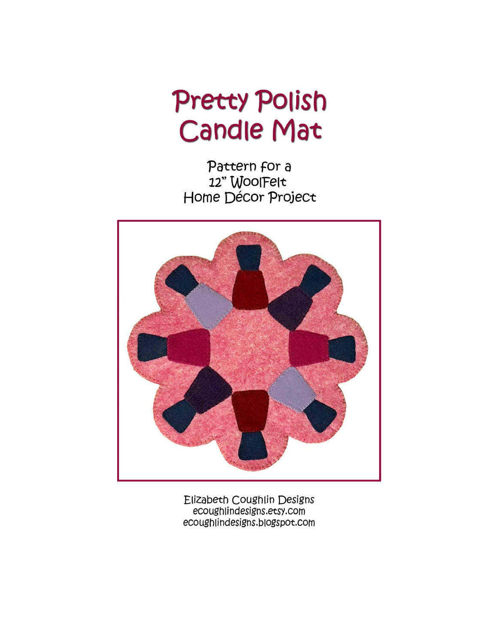# **Pretty Polish Candle Mat**

Pattern for a 12" WoolFelt Home Décor Project



Elizabeth Coughlin Designs ecoughlindesigns.etsy.com ecoughlindesigns.blogspot.com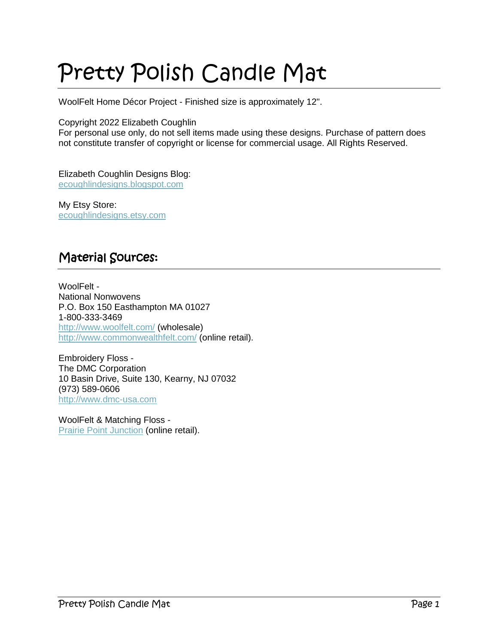## Pretty Polish Candle Mat

WoolFelt Home Décor Project - Finished size is approximately 12".

#### Copyright 2022 Elizabeth Coughlin

For personal use only, do not sell items made using these designs. Purchase of pattern does not constitute transfer of copyright or license for commercial usage. All Rights Reserved.

Elizabeth Coughlin Designs Blog: [ecoughlindesigns.blogspot.com](file:///C:/Main%20Storage/Liz/patterndevelopment/woolfeltpatterns/roundmatseries/bedofhexirosestablemat/ecoughlindesigns.blogspot.com)

My Etsy Store: [ecoughlindesigns.etsy.com](file:///C:/Main%20Storage/Liz/patterndevelopment/bloghopprojects/2020/HalloweenHoppers/ecoughlindesigns.etsy.com)

#### Material Sources:

WoolFelt - National Nonwovens P.O. Box 150 Easthampton MA 01027 1-800-333-3469 <http://www.woolfelt.com/> (wholesale) <http://www.commonwealthfelt.com/> (online retail).

Embroidery Floss - The DMC Corporation 10 Basin Drive, Suite 130, Kearny, NJ 07032 (973) 589-0606 [http://www.dmc-usa.com](http://www.dmc-usa.com/)

WoolFelt & Matching Floss - **[Prairie Point Junction](http://www.commonwealthfelt.com/) (online retail).**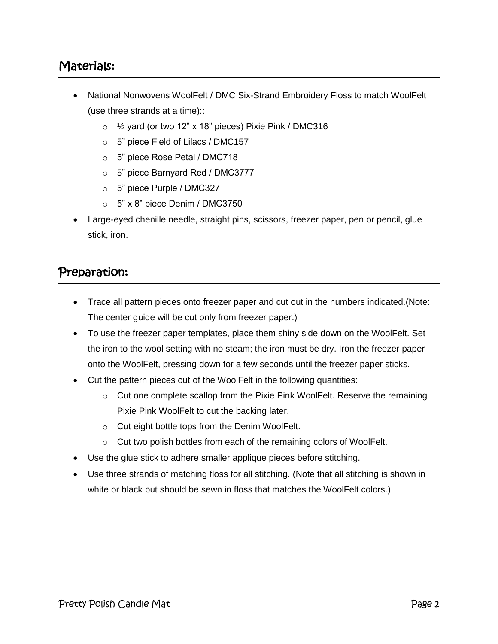### Materials:

- National Nonwovens WoolFelt / DMC Six-Strand Embroidery Floss to match WoolFelt (use three strands at a time)::
	- $\degree$  1/<sub>2</sub> yard (or two 12" x 18" pieces) Pixie Pink / DMC316
	- o 5" piece Field of Lilacs / DMC157
	- o 5" piece Rose Petal / DMC718
	- o 5" piece Barnyard Red / DMC3777
	- o 5" piece Purple / DMC327
	- $\circ$  5" x 8" piece Denim / DMC3750
- Large-eyed chenille needle, straight pins, scissors, freezer paper, pen or pencil, glue stick, iron.

#### Preparation:

- Trace all pattern pieces onto freezer paper and cut out in the numbers indicated.(Note: The center guide will be cut only from freezer paper.)
- To use the freezer paper templates, place them shiny side down on the WoolFelt. Set the iron to the wool setting with no steam; the iron must be dry. Iron the freezer paper onto the WoolFelt, pressing down for a few seconds until the freezer paper sticks.
- Cut the pattern pieces out of the WoolFelt in the following quantities:
	- $\circ$  Cut one complete scallop from the Pixie Pink WoolFelt. Reserve the remaining Pixie Pink WoolFelt to cut the backing later.
	- o Cut eight bottle tops from the Denim WoolFelt.
	- o Cut two polish bottles from each of the remaining colors of WoolFelt.
- Use the glue stick to adhere smaller applique pieces before stitching.
- Use three strands of matching floss for all stitching. (Note that all stitching is shown in white or black but should be sewn in floss that matches the WoolFelt colors.)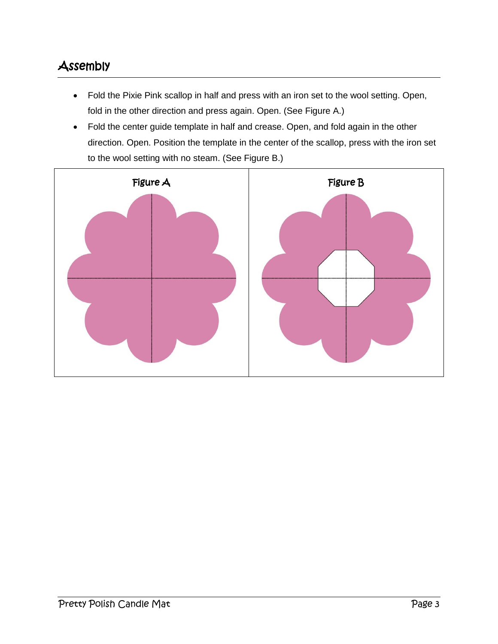### Assembly

- Fold the Pixie Pink scallop in half and press with an iron set to the wool setting. Open, fold in the other direction and press again. Open. (See Figure A.)
- Fold the center guide template in half and crease. Open, and fold again in the other direction. Open. Position the template in the center of the scallop, press with the iron set to the wool setting with no steam. (See Figure B.)

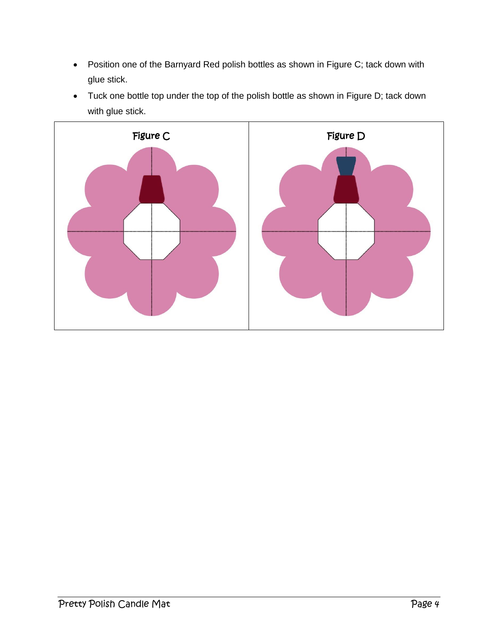- Position one of the Barnyard Red polish bottles as shown in Figure C; tack down with glue stick.
- Tuck one bottle top under the top of the polish bottle as shown in Figure D; tack down with glue stick.

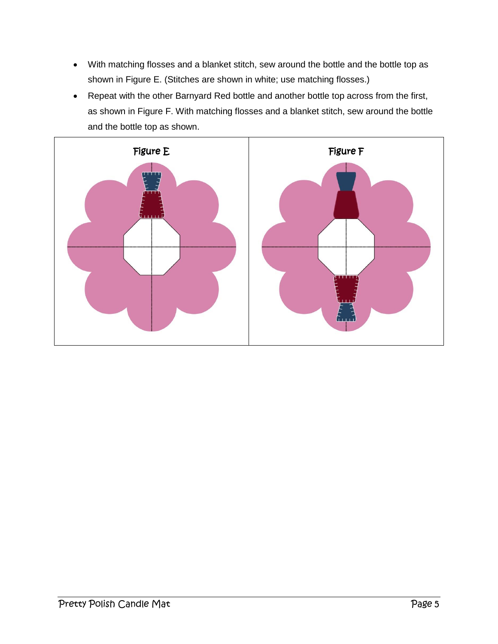- With matching flosses and a blanket stitch, sew around the bottle and the bottle top as shown in Figure E. (Stitches are shown in white; use matching flosses.)
- Repeat with the other Barnyard Red bottle and another bottle top across from the first, as shown in Figure F. With matching flosses and a blanket stitch, sew around the bottle and the bottle top as shown.

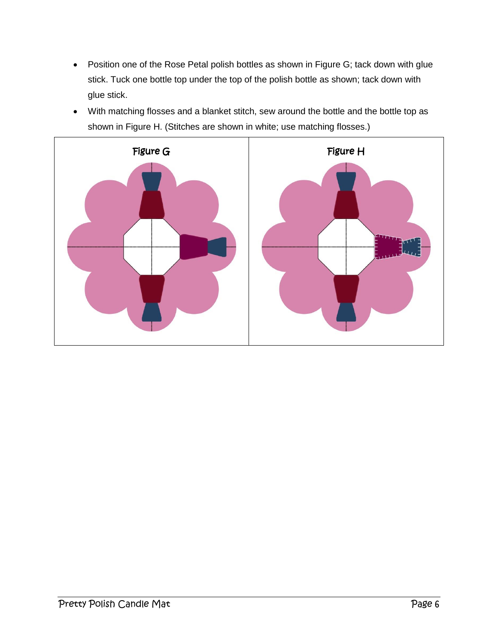- Position one of the Rose Petal polish bottles as shown in Figure G; tack down with glue stick. Tuck one bottle top under the top of the polish bottle as shown; tack down with glue stick.
- With matching flosses and a blanket stitch, sew around the bottle and the bottle top as shown in Figure H. (Stitches are shown in white; use matching flosses.)

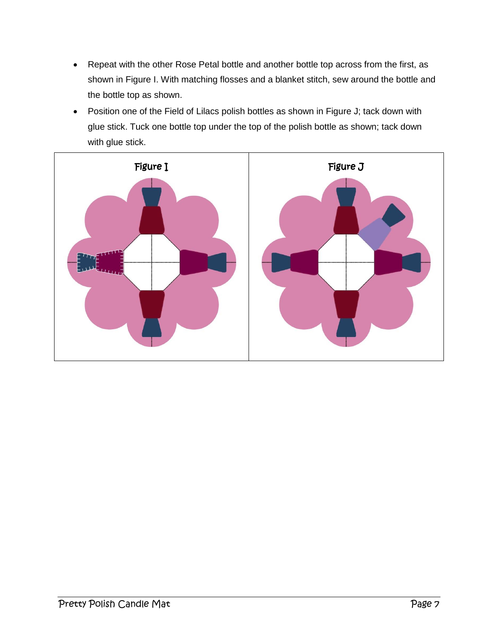- Repeat with the other Rose Petal bottle and another bottle top across from the first, as shown in Figure I. With matching flosses and a blanket stitch, sew around the bottle and the bottle top as shown.
- Position one of the Field of Lilacs polish bottles as shown in Figure J; tack down with glue stick. Tuck one bottle top under the top of the polish bottle as shown; tack down with glue stick.

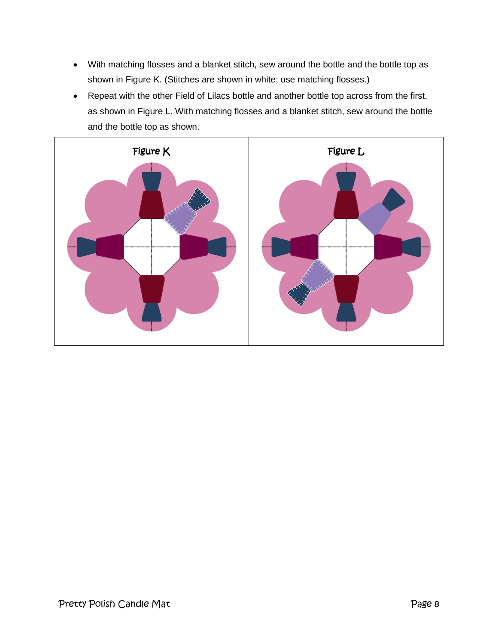- With matching flosses and a blanket stitch, sew around the bottle and the bottle top as shown in Figure K. (Stitches are shown in white; use matching flosses.)
- Repeat with the other Field of Lilacs bottle and another bottle top across from the first, as shown in Figure L. With matching flosses and a blanket stitch, sew around the bottle and the bottle top as shown.

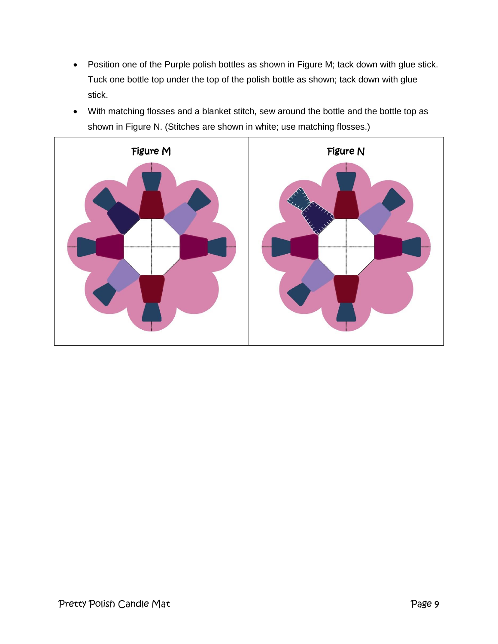- Position one of the Purple polish bottles as shown in Figure M; tack down with glue stick. Tuck one bottle top under the top of the polish bottle as shown; tack down with glue stick.
- With matching flosses and a blanket stitch, sew around the bottle and the bottle top as shown in Figure N. (Stitches are shown in white; use matching flosses.)

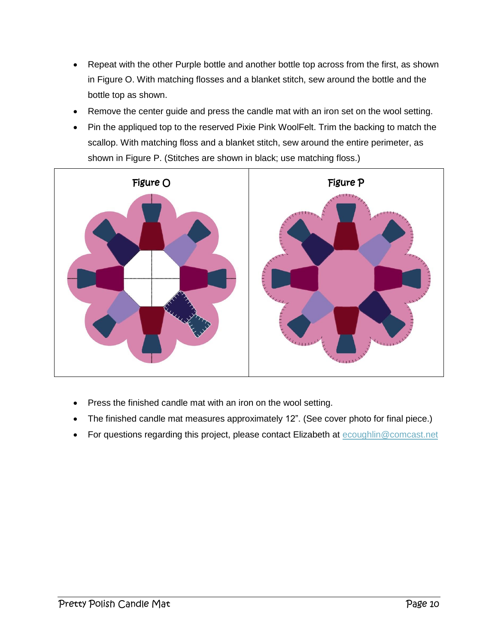- Repeat with the other Purple bottle and another bottle top across from the first, as shown in Figure O. With matching flosses and a blanket stitch, sew around the bottle and the bottle top as shown.
- Remove the center guide and press the candle mat with an iron set on the wool setting.
- Pin the appliqued top to the reserved Pixie Pink WoolFelt. Trim the backing to match the scallop. With matching floss and a blanket stitch, sew around the entire perimeter, as shown in Figure P. (Stitches are shown in black; use matching floss.)



- Press the finished candle mat with an iron on the wool setting.
- The finished candle mat measures approximately 12". (See cover photo for final piece.)
- For questions regarding this project, please contact Elizabeth at [ecoughlin@comcast.net](mailto:ecoughlin@comcast.net)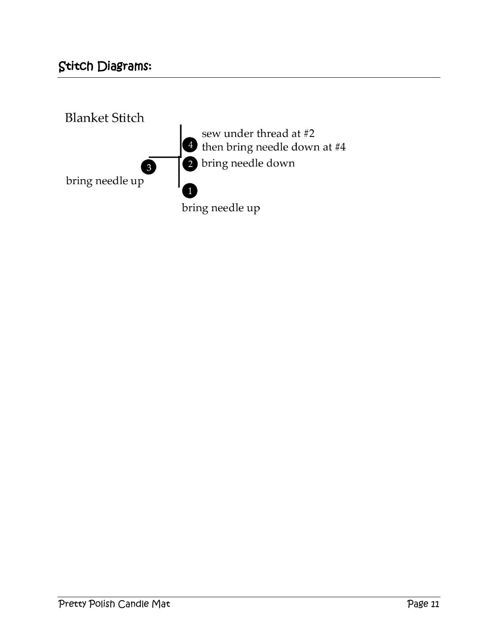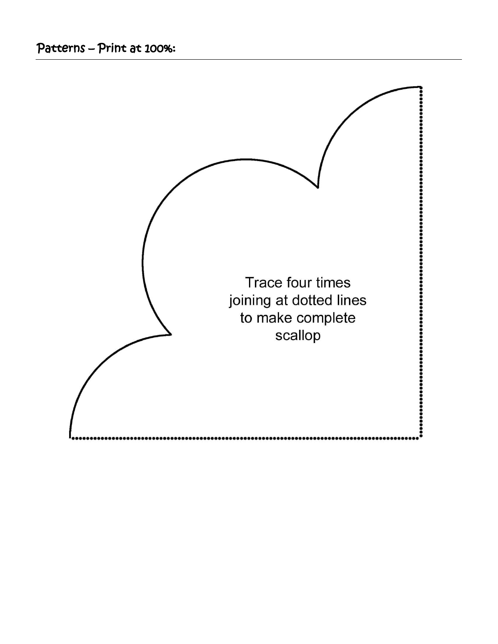